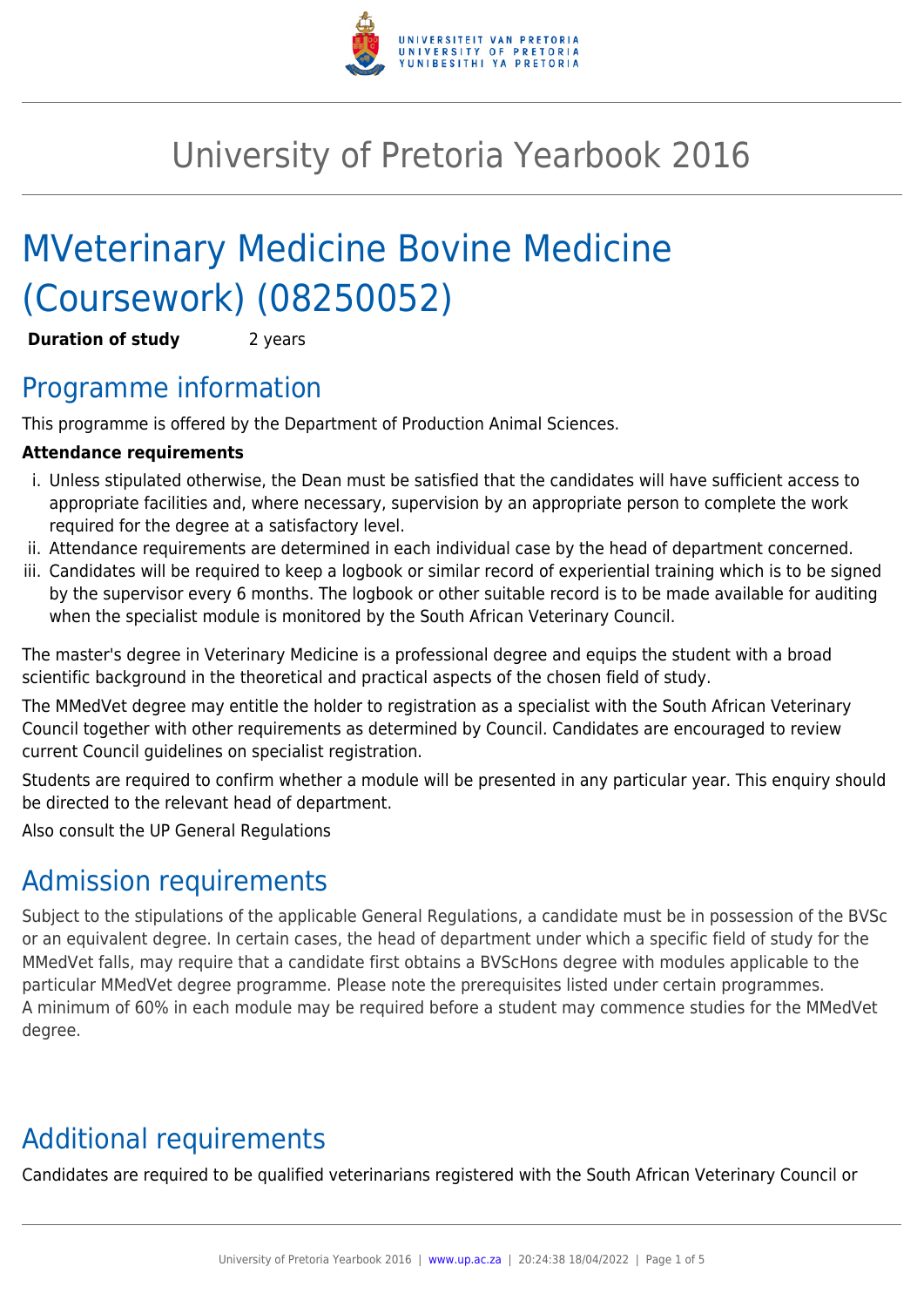

# University of Pretoria Yearbook 2016

# MVeterinary Medicine Bovine Medicine (Coursework) (08250052)

**Duration of study** 2 years

## Programme information

This programme is offered by the Department of Production Animal Sciences.

#### **Attendance requirements**

- i. Unless stipulated otherwise, the Dean must be satisfied that the candidates will have sufficient access to appropriate facilities and, where necessary, supervision by an appropriate person to complete the work required for the degree at a satisfactory level.
- ii. Attendance requirements are determined in each individual case by the head of department concerned.
- iii. Candidates will be required to keep a logbook or similar record of experiential training which is to be signed by the supervisor every 6 months. The logbook or other suitable record is to be made available for auditing when the specialist module is monitored by the South African Veterinary Council.

The master's degree in Veterinary Medicine is a professional degree and equips the student with a broad scientific background in the theoretical and practical aspects of the chosen field of study.

The MMedVet degree may entitle the holder to registration as a specialist with the South African Veterinary Council together with other requirements as determined by Council. Candidates are encouraged to review current Council guidelines on specialist registration.

Students are required to confirm whether a module will be presented in any particular year. This enquiry should be directed to the relevant head of department.

Also consult the UP General Regulations

## Admission requirements

Subject to the stipulations of the applicable General Regulations, a candidate must be in possession of the BVSc or an equivalent degree. In certain cases, the head of department under which a specific field of study for the MMedVet falls, may require that a candidate first obtains a BVScHons degree with modules applicable to the particular MMedVet degree programme. Please note the prerequisites listed under certain programmes. A minimum of 60% in each module may be required before a student may commence studies for the MMedVet degree.

# Additional requirements

Candidates are required to be qualified veterinarians registered with the South African Veterinary Council or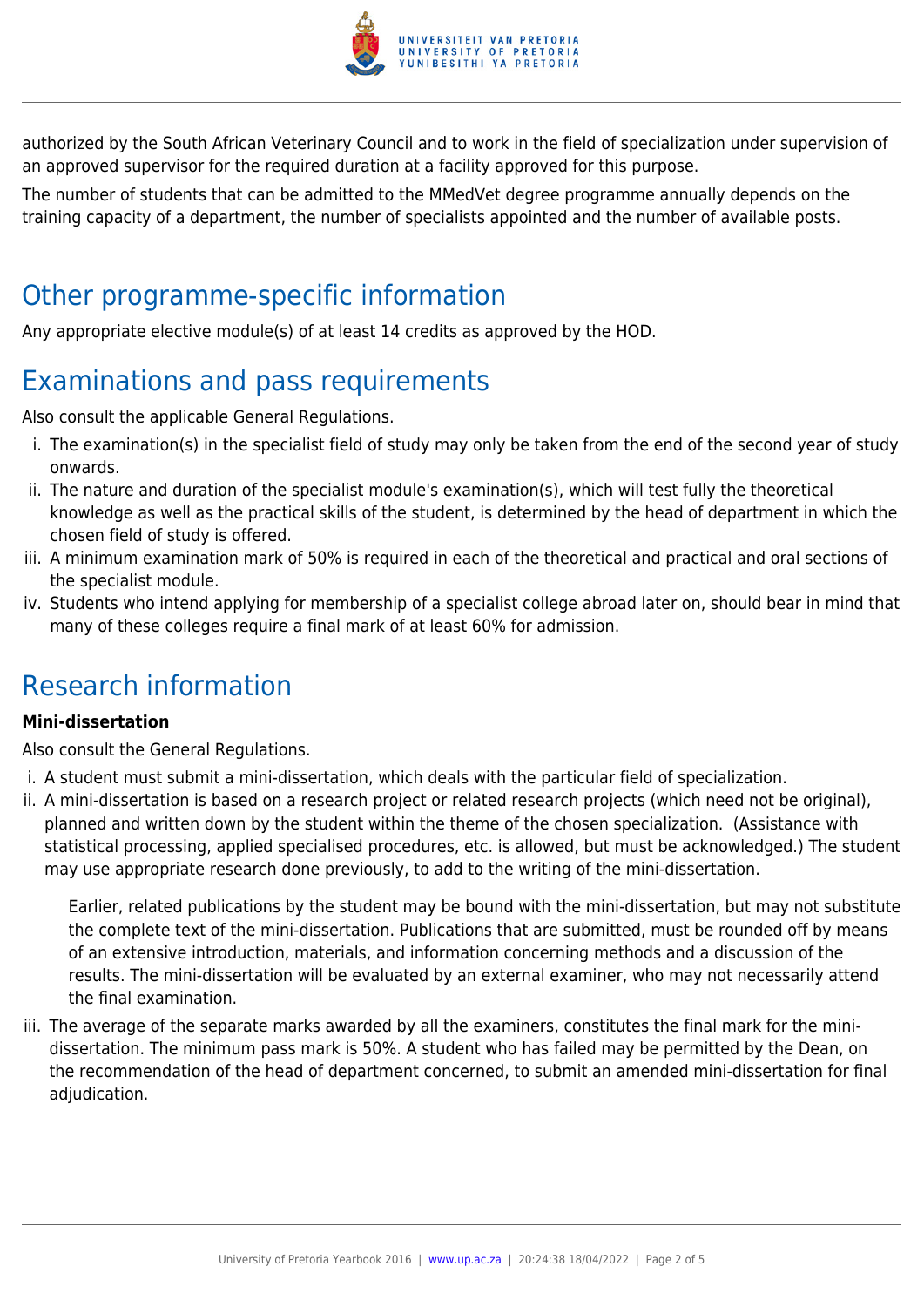

authorized by the South African Veterinary Council and to work in the field of specialization under supervision of an approved supervisor for the required duration at a facility approved for this purpose.

The number of students that can be admitted to the MMedVet degree programme annually depends on the training capacity of a department, the number of specialists appointed and the number of available posts.

#### Other programme-specific information

Any appropriate elective module(s) of at least 14 credits as approved by the HOD.

# Examinations and pass requirements

Also consult the applicable General Regulations.

- i. The examination(s) in the specialist field of study may only be taken from the end of the second year of study onwards.
- ii. The nature and duration of the specialist module's examination(s), which will test fully the theoretical knowledge as well as the practical skills of the student, is determined by the head of department in which the chosen field of study is offered.
- iii. A minimum examination mark of 50% is required in each of the theoretical and practical and oral sections of the specialist module.
- iv. Students who intend applying for membership of a specialist college abroad later on, should bear in mind that many of these colleges require a final mark of at least 60% for admission.

## Research information

#### **Mini-dissertation**

Also consult the General Regulations.

- i. A student must submit a mini-dissertation, which deals with the particular field of specialization.
- ii. A mini-dissertation is based on a research project or related research projects (which need not be original), planned and written down by the student within the theme of the chosen specialization. (Assistance with statistical processing, applied specialised procedures, etc. is allowed, but must be acknowledged.) The student may use appropriate research done previously, to add to the writing of the mini-dissertation.

Earlier, related publications by the student may be bound with the mini-dissertation, but may not substitute the complete text of the mini-dissertation. Publications that are submitted, must be rounded off by means of an extensive introduction, materials, and information concerning methods and a discussion of the results. The mini-dissertation will be evaluated by an external examiner, who may not necessarily attend the final examination.

iii. The average of the separate marks awarded by all the examiners, constitutes the final mark for the minidissertation. The minimum pass mark is 50%. A student who has failed may be permitted by the Dean, on the recommendation of the head of department concerned, to submit an amended mini-dissertation for final adjudication.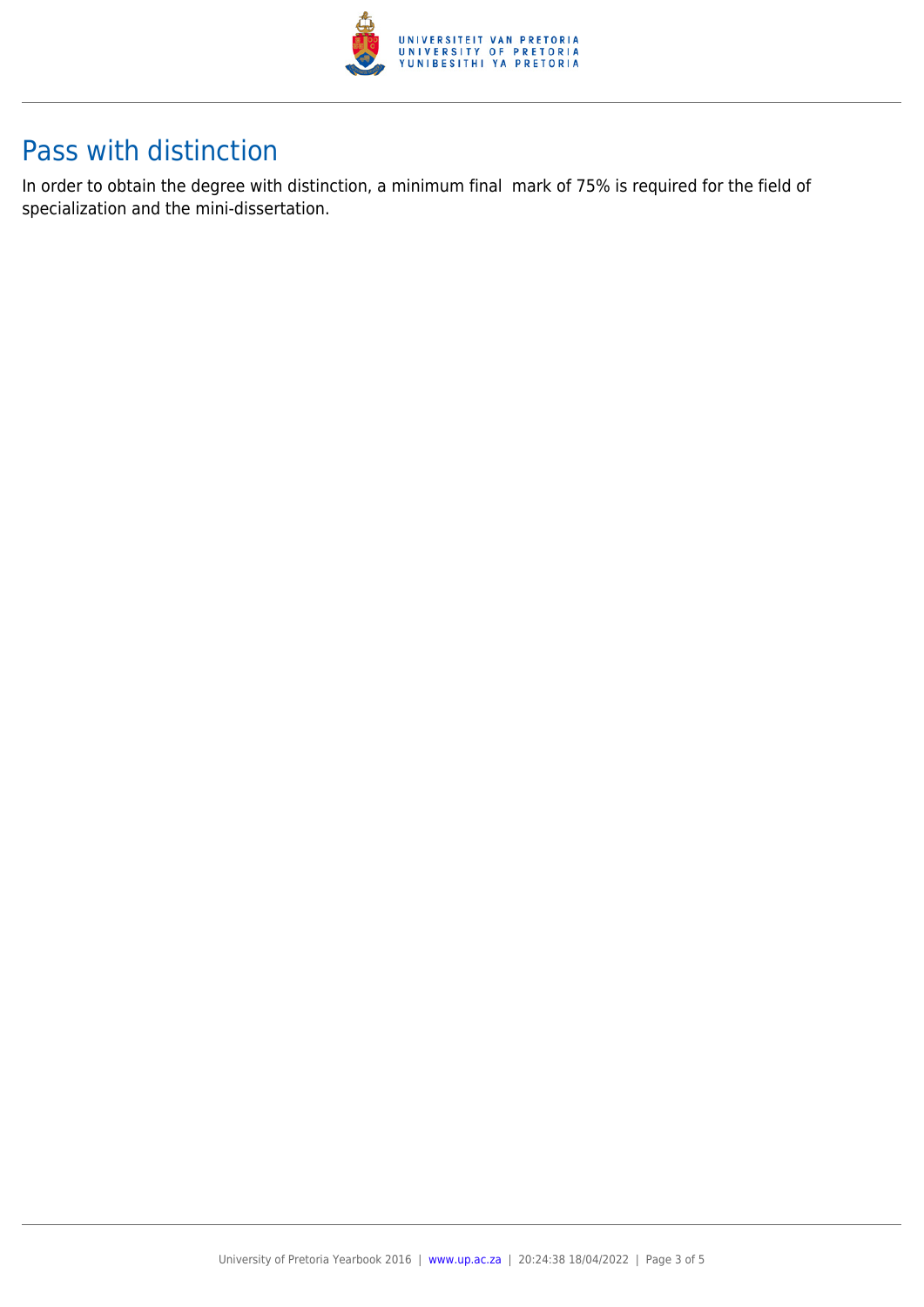

## Pass with distinction

In order to obtain the degree with distinction, a minimum final mark of 75% is required for the field of specialization and the mini-dissertation.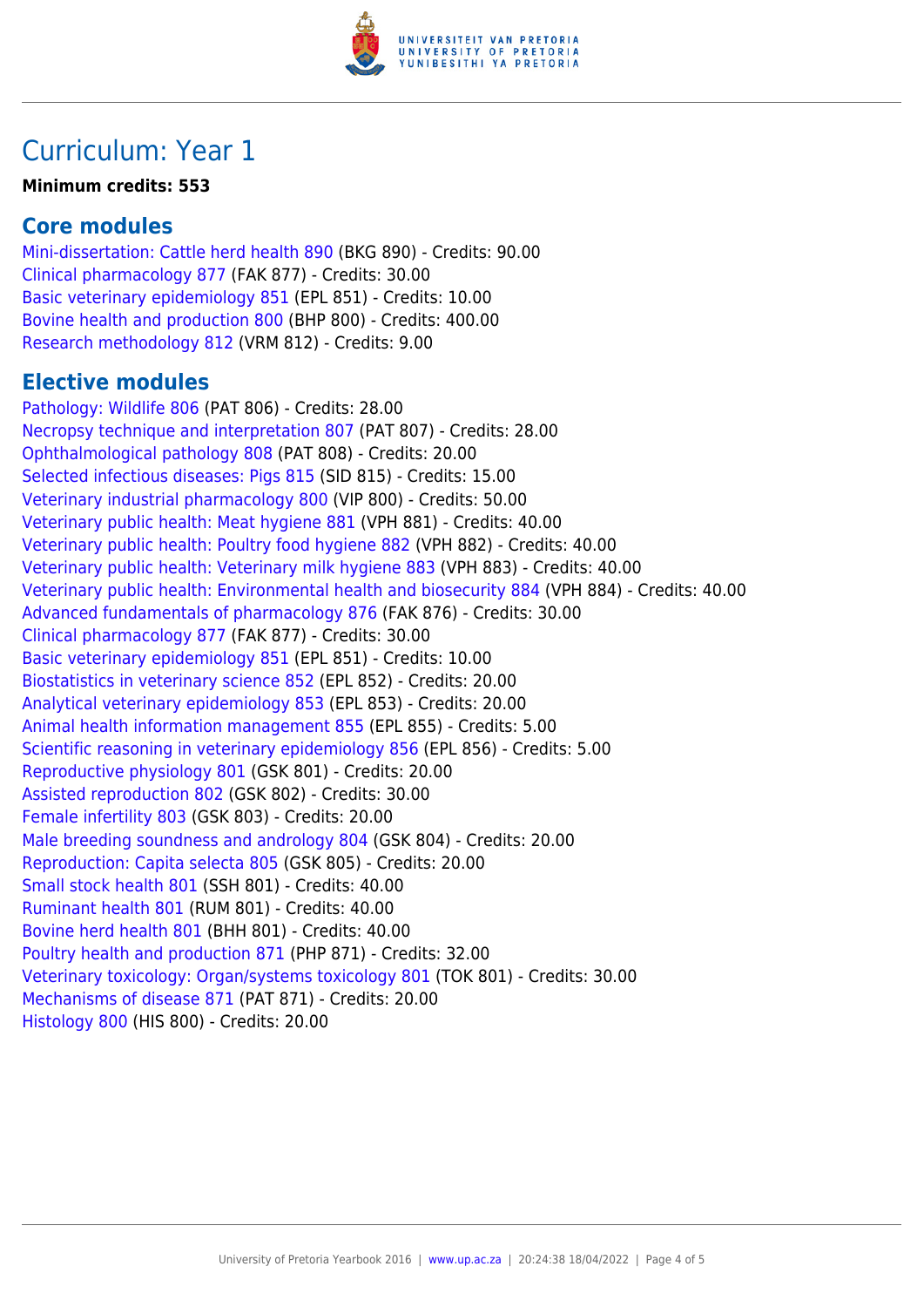

### Curriculum: Year 1

#### **Minimum credits: 553**

#### **Core modules**

[Mini-dissertation: Cattle herd health 890](https://www.up.ac.za/mechanical-and-aeronautical-engineering/yearbooks/2016/modules/view/BKG 890) (BKG 890) - Credits: 90.00 [Clinical pharmacology 877](https://www.up.ac.za/mechanical-and-aeronautical-engineering/yearbooks/2016/modules/view/FAK 877) (FAK 877) - Credits: 30.00 [Basic veterinary epidemiology 851](https://www.up.ac.za/mechanical-and-aeronautical-engineering/yearbooks/2016/modules/view/EPL 851) (EPL 851) - Credits: 10.00 [Bovine health and production 800](https://www.up.ac.za/mechanical-and-aeronautical-engineering/yearbooks/2016/modules/view/BHP 800) (BHP 800) - Credits: 400.00 [Research methodology 812](https://www.up.ac.za/mechanical-and-aeronautical-engineering/yearbooks/2016/modules/view/VRM 812) (VRM 812) - Credits: 9.00

#### **Elective modules**

[Pathology: Wildlife 806](https://www.up.ac.za/mechanical-and-aeronautical-engineering/yearbooks/2016/modules/view/PAT 806) (PAT 806) - Credits: 28.00 [Necropsy technique and interpretation 807](https://www.up.ac.za/mechanical-and-aeronautical-engineering/yearbooks/2016/modules/view/PAT 807) (PAT 807) - Credits: 28.00 [Ophthalmological pathology 808](https://www.up.ac.za/mechanical-and-aeronautical-engineering/yearbooks/2016/modules/view/PAT 808) (PAT 808) - Credits: 20.00 [Selected infectious diseases: Pigs 815](https://www.up.ac.za/mechanical-and-aeronautical-engineering/yearbooks/2016/modules/view/SID 815) (SID 815) - Credits: 15.00 [Veterinary industrial pharmacology 800](https://www.up.ac.za/mechanical-and-aeronautical-engineering/yearbooks/2016/modules/view/VIP 800) (VIP 800) - Credits: 50.00 [Veterinary public health: Meat hygiene 881](https://www.up.ac.za/mechanical-and-aeronautical-engineering/yearbooks/2016/modules/view/VPH 881) (VPH 881) - Credits: 40.00 [Veterinary public health: Poultry food hygiene 882](https://www.up.ac.za/mechanical-and-aeronautical-engineering/yearbooks/2016/modules/view/VPH 882) (VPH 882) - Credits: 40.00 [Veterinary public health: Veterinary milk hygiene 883](https://www.up.ac.za/mechanical-and-aeronautical-engineering/yearbooks/2016/modules/view/VPH 883) (VPH 883) - Credits: 40.00 [Veterinary public health: Environmental health and biosecurity 884](https://www.up.ac.za/mechanical-and-aeronautical-engineering/yearbooks/2016/modules/view/VPH 884) (VPH 884) - Credits: 40.00 [Advanced fundamentals of pharmacology 876](https://www.up.ac.za/mechanical-and-aeronautical-engineering/yearbooks/2016/modules/view/FAK 876) (FAK 876) - Credits: 30.00 [Clinical pharmacology 877](https://www.up.ac.za/mechanical-and-aeronautical-engineering/yearbooks/2016/modules/view/FAK 877) (FAK 877) - Credits: 30.00 [Basic veterinary epidemiology 851](https://www.up.ac.za/mechanical-and-aeronautical-engineering/yearbooks/2016/modules/view/EPL 851) (EPL 851) - Credits: 10.00 [Biostatistics in veterinary science 852](https://www.up.ac.za/mechanical-and-aeronautical-engineering/yearbooks/2016/modules/view/EPL 852) (EPL 852) - Credits: 20.00 [Analytical veterinary epidemiology 853](https://www.up.ac.za/mechanical-and-aeronautical-engineering/yearbooks/2016/modules/view/EPL 853) (EPL 853) - Credits: 20.00 [Animal health information management 855](https://www.up.ac.za/mechanical-and-aeronautical-engineering/yearbooks/2016/modules/view/EPL 855) (EPL 855) - Credits: 5.00 [Scientific reasoning in veterinary epidemiology 856](https://www.up.ac.za/mechanical-and-aeronautical-engineering/yearbooks/2016/modules/view/EPL 856) (EPL 856) - Credits: 5.00 [Reproductive physiology 801](https://www.up.ac.za/mechanical-and-aeronautical-engineering/yearbooks/2016/modules/view/GSK 801) (GSK 801) - Credits: 20.00 [Assisted reproduction 802](https://www.up.ac.za/mechanical-and-aeronautical-engineering/yearbooks/2016/modules/view/GSK 802) (GSK 802) - Credits: 30.00 [Female infertility 803](https://www.up.ac.za/mechanical-and-aeronautical-engineering/yearbooks/2016/modules/view/GSK 803) (GSK 803) - Credits: 20.00 [Male breeding soundness and andrology 804](https://www.up.ac.za/mechanical-and-aeronautical-engineering/yearbooks/2016/modules/view/GSK 804) (GSK 804) - Credits: 20.00 [Reproduction: Capita selecta 805](https://www.up.ac.za/mechanical-and-aeronautical-engineering/yearbooks/2016/modules/view/GSK 805) (GSK 805) - Credits: 20.00 [Small stock health 801](https://www.up.ac.za/mechanical-and-aeronautical-engineering/yearbooks/2016/modules/view/SSH 801) (SSH 801) - Credits: 40.00 [Ruminant health 801](https://www.up.ac.za/mechanical-and-aeronautical-engineering/yearbooks/2016/modules/view/RUM 801) (RUM 801) - Credits: 40.00 [Bovine herd health 801](https://www.up.ac.za/mechanical-and-aeronautical-engineering/yearbooks/2016/modules/view/BHH 801) (BHH 801) - Credits: 40.00 [Poultry health and production 871](https://www.up.ac.za/mechanical-and-aeronautical-engineering/yearbooks/2016/modules/view/PHP 871) (PHP 871) - Credits: 32.00 [Veterinary toxicology: Organ/systems toxicology 801](https://www.up.ac.za/mechanical-and-aeronautical-engineering/yearbooks/2016/modules/view/TOK 801) (TOK 801) - Credits: 30.00 [Mechanisms of disease 871](https://www.up.ac.za/mechanical-and-aeronautical-engineering/yearbooks/2016/modules/view/PAT 871) (PAT 871) - Credits: 20.00 [Histology 800](https://www.up.ac.za/mechanical-and-aeronautical-engineering/yearbooks/2016/modules/view/HIS 800) (HIS 800) - Credits: 20.00